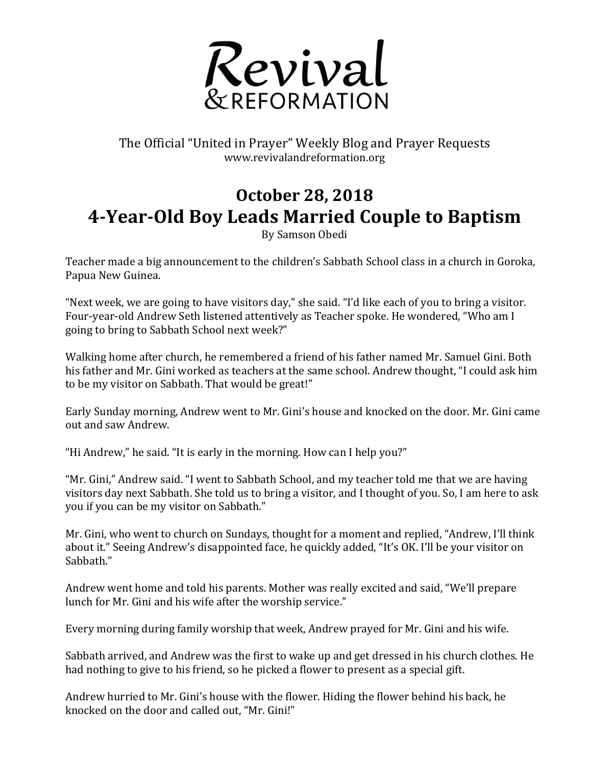

## The Official "United in Prayer" Weekly Blog and Prayer Requests www.revivalandreformation.org

## **October 28, 2018 4-Year-Old Boy Leads Married Couple to Baptism**

By Samson Obedi

Teacher made a big announcement to the children's Sabbath School class in a church in Goroka, Papua New Guinea.

"Next week, we are going to have visitors day," she said. "I'd like each of you to bring a visitor. Four-year-old Andrew Seth listened attentively as Teacher spoke. He wondered, "Who am I going to bring to Sabbath School next week?"

Walking home after church, he remembered a friend of his father named Mr. Samuel Gini. Both his father and Mr. Gini worked as teachers at the same school. Andrew thought, "I could ask him to be my visitor on Sabbath. That would be great!"

Early Sunday morning, Andrew went to Mr. Gini's house and knocked on the door. Mr. Gini came out and saw Andrew.

"Hi Andrew," he said. "It is early in the morning. How can I help you?"

"Mr. Gini," Andrew said. "I went to Sabbath School, and my teacher told me that we are having visitors day next Sabbath. She told us to bring a visitor, and I thought of you. So, I am here to ask you if you can be my visitor on Sabbath."

Mr. Gini, who went to church on Sundays, thought for a moment and replied, "Andrew, I'll think about it." Seeing Andrew's disappointed face, he quickly added, "It's OK. I'll be your visitor on Sabbath."

Andrew went home and told his parents. Mother was really excited and said, "We'll prepare lunch for Mr. Gini and his wife after the worship service."

Every morning during family worship that week, Andrew prayed for Mr. Gini and his wife.

Sabbath arrived, and Andrew was the first to wake up and get dressed in his church clothes. He had nothing to give to his friend, so he picked a flower to present as a special gift.

Andrew hurried to Mr. Gini's house with the flower. Hiding the flower behind his back, he knocked on the door and called out, "Mr. Gini!"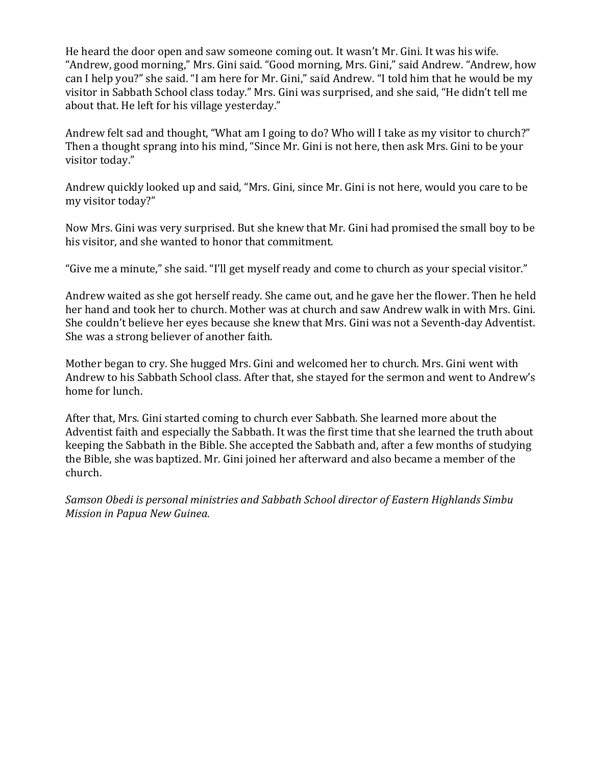He heard the door open and saw someone coming out. It wasn't Mr. Gini. It was his wife. "Andrew, good morning," Mrs. Gini said. "Good morning, Mrs. Gini," said Andrew. "Andrew, how can I help you?" she said. "I am here for Mr. Gini," said Andrew. "I told him that he would be my visitor in Sabbath School class today." Mrs. Gini was surprised, and she said, "He didn't tell me about that. He left for his village yesterday."

Andrew felt sad and thought, "What am I going to do? Who will I take as my visitor to church?" Then a thought sprang into his mind, "Since Mr. Gini is not here, then ask Mrs. Gini to be your visitor today."

Andrew quickly looked up and said, "Mrs. Gini, since Mr. Gini is not here, would you care to be my visitor today?"

Now Mrs. Gini was very surprised. But she knew that Mr. Gini had promised the small boy to be his visitor, and she wanted to honor that commitment.

"Give me a minute," she said. "I'll get myself ready and come to church as your special visitor."

Andrew waited as she got herself ready. She came out, and he gave her the flower. Then he held her hand and took her to church. Mother was at church and saw Andrew walk in with Mrs. Gini. She couldn't believe her eyes because she knew that Mrs. Gini was not a Seventh-day Adventist. She was a strong believer of another faith.

Mother began to cry. She hugged Mrs. Gini and welcomed her to church. Mrs. Gini went with Andrew to his Sabbath School class. After that, she stayed for the sermon and went to Andrew's home for lunch.

After that, Mrs. Gini started coming to church ever Sabbath. She learned more about the Adventist faith and especially the Sabbath. It was the first time that she learned the truth about keeping the Sabbath in the Bible. She accepted the Sabbath and, after a few months of studying the Bible, she was baptized. Mr. Gini joined her afterward and also became a member of the church.

*Samson Obedi is personal ministries and Sabbath School director of Eastern Highlands Simbu Mission in Papua New Guinea.*